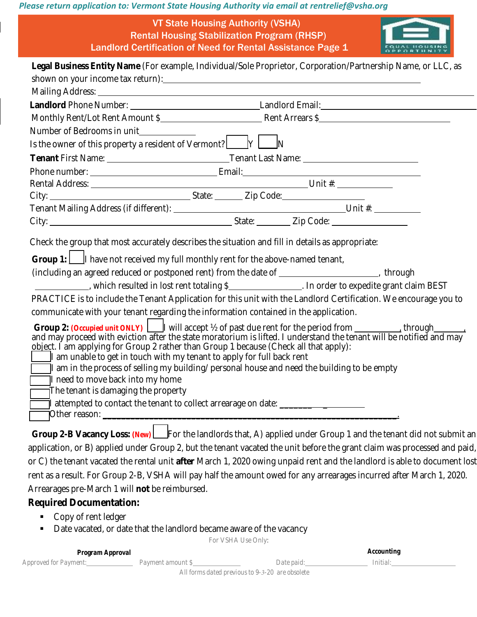*Please return application to: Vermont State Housing Authority via email at rentrelief@vsha.org*

VT State Housing Authority (VSHA) Rental Housing Stabilization Program (RHSP) Landlord Certification of Need for Rental Assistance Page 1



| Landlord Phone Number: 1988 1999 [2010] Landlord Email: 1999 [2010] Landlord Email:                                                                                                                                                                                                                                                                                                                                                                                                                                                                                                                                                                                                  |                    |            |                        |  |
|--------------------------------------------------------------------------------------------------------------------------------------------------------------------------------------------------------------------------------------------------------------------------------------------------------------------------------------------------------------------------------------------------------------------------------------------------------------------------------------------------------------------------------------------------------------------------------------------------------------------------------------------------------------------------------------|--------------------|------------|------------------------|--|
|                                                                                                                                                                                                                                                                                                                                                                                                                                                                                                                                                                                                                                                                                      |                    |            |                        |  |
| Number of Bedrooms in unit_____________                                                                                                                                                                                                                                                                                                                                                                                                                                                                                                                                                                                                                                              |                    |            |                        |  |
| Is the owner of this property a resident of Vermont? $\boxed{\phantom{\text{a}}\phantom{\text{b}}\gamma\phantom{\text{b}}\phantom{\text{b}}\gamma}$                                                                                                                                                                                                                                                                                                                                                                                                                                                                                                                                  |                    |            |                        |  |
|                                                                                                                                                                                                                                                                                                                                                                                                                                                                                                                                                                                                                                                                                      |                    |            |                        |  |
|                                                                                                                                                                                                                                                                                                                                                                                                                                                                                                                                                                                                                                                                                      |                    |            |                        |  |
|                                                                                                                                                                                                                                                                                                                                                                                                                                                                                                                                                                                                                                                                                      |                    |            |                        |  |
|                                                                                                                                                                                                                                                                                                                                                                                                                                                                                                                                                                                                                                                                                      |                    |            |                        |  |
|                                                                                                                                                                                                                                                                                                                                                                                                                                                                                                                                                                                                                                                                                      |                    |            |                        |  |
|                                                                                                                                                                                                                                                                                                                                                                                                                                                                                                                                                                                                                                                                                      |                    |            |                        |  |
| Check the group that most accurately describes the situation and fill in details as appropriate:                                                                                                                                                                                                                                                                                                                                                                                                                                                                                                                                                                                     |                    |            |                        |  |
|                                                                                                                                                                                                                                                                                                                                                                                                                                                                                                                                                                                                                                                                                      |                    |            |                        |  |
| Group 1: $\boxed{\phantom{a}}$ have not received my full monthly rent for the above-named tenant,                                                                                                                                                                                                                                                                                                                                                                                                                                                                                                                                                                                    |                    |            |                        |  |
| (including an agreed reduced or postponed rent) from the date of _______________________, through                                                                                                                                                                                                                                                                                                                                                                                                                                                                                                                                                                                    |                    |            |                        |  |
| which resulted in lost rent totaling \$________________. In order to expedite grant claim BEST                                                                                                                                                                                                                                                                                                                                                                                                                                                                                                                                                                                       |                    |            |                        |  |
| PRACTICE is to include the Tenant Application for this unit with the Landlord Certification. We encourage you to                                                                                                                                                                                                                                                                                                                                                                                                                                                                                                                                                                     |                    |            |                        |  |
| communicate with your tenant regarding the information contained in the application.                                                                                                                                                                                                                                                                                                                                                                                                                                                                                                                                                                                                 |                    |            |                        |  |
| Group 2: <i>(Occupied unit ONLY)</i> $\Box$ will accept 1/2 of past due rent for the period from $\Box$ through through the state moratorium is lifted. I understand the tenant will be notified and may<br>object. I am applying for Group 2 rather than Group 1 because (Check all that apply):<br>I am unable to get in touch with my tenant to apply for full back rent<br>I am in the process of selling my building/ personal house and need the building to be empty<br>I need to move back into my home<br>The tenant is damaging the property<br>$\bar{\bm{\mathsf{I}}}$ attempted to contact the tenant to collect arrearage on date: _________________<br>Other reason: _ |                    |            |                        |  |
| Group 2-B Vacancy Loss: (New) For the landlords that, A) applied under Group 1 and the tenant did not submit an<br>application, or B) applied under Group 2, but the tenant vacated the unit before the grant claim was processed and paid,<br>or C) the tenant vacated the rental unit after March 1, 2020 owing unpaid rent and the landlord is able to document lost<br>rent as a result. For Group 2-B, VSHA will pay half the amount owed for any arrearages incurred after March 1, 2020.<br>Arrearages pre-March 1 will not be reimbursed.<br>Required Documentation:<br>Copy of rent ledger<br>п                                                                             |                    |            |                        |  |
| Date vacated, or date that the landlord became aware of the vacancy                                                                                                                                                                                                                                                                                                                                                                                                                                                                                                                                                                                                                  |                    |            |                        |  |
|                                                                                                                                                                                                                                                                                                                                                                                                                                                                                                                                                                                                                                                                                      | For VSHA Use Only: |            |                        |  |
| Program Approval<br>Approved for Payment: Payment amount \$                                                                                                                                                                                                                                                                                                                                                                                                                                                                                                                                                                                                                          |                    | Date paid: | Accounting<br>Initial: |  |

*All forms dated previous to 9-3-20 are obsolete*